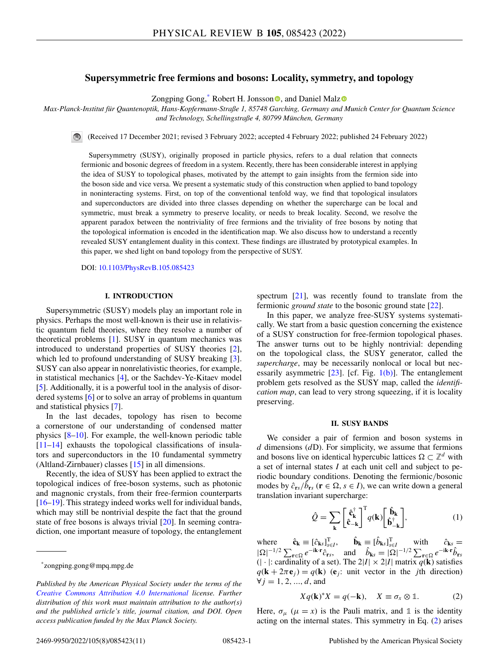# <span id="page-0-0"></span>**Supersymmetric free fermions and bosons: Locality, symmetry, and topology**

Zo[n](https://orcid.org/0000-0003-0295-250X)gping Gong,<sup>\*</sup> Robert H. Jonsson<sup>®</sup>, and Daniel Mal[z](https://orcid.org/0000-0002-8832-0927)<sup>®</sup>

*Max-Planck-Institut für Quantenoptik, Hans-Kopfermann-Straße 1, 85748 Garching, Germany and Munich Center for Quantum Science and Technology, Schellingstraße 4, 80799 München, Germany*

 $\bigcirc$ (Received 17 December 2021; revised 3 February 2022; accepted 4 February 2022; published 24 February 2022)

Supersymmetry (SUSY), originally proposed in particle physics, refers to a dual relation that connects fermionic and bosonic degrees of freedom in a system. Recently, there has been considerable interest in applying the idea of SUSY to topological phases, motivated by the attempt to gain insights from the fermion side into the boson side and vice versa. We present a systematic study of this construction when applied to band topology in noninteracting systems. First, on top of the conventional tenfold way, we find that topological insulators and superconductors are divided into three classes depending on whether the supercharge can be local and symmetric, must break a symmetry to preserve locality, or needs to break locality. Second, we resolve the apparent paradox between the nontriviality of free fermions and the triviality of free bosons by noting that the topological information is encoded in the identification map. We also discuss how to understand a recently revealed SUSY entanglement duality in this context. These findings are illustrated by prototypical examples. In this paper, we shed light on band topology from the perspective of SUSY.

DOI: [10.1103/PhysRevB.105.085423](https://doi.org/10.1103/PhysRevB.105.085423)

#### **I. INTRODUCTION**

Supersymmetric (SUSY) models play an important role in physics. Perhaps the most well-known is their use in relativistic quantum field theories, where they resolve a number of theoretical problems [\[1\]](#page-9-0). SUSY in quantum mechanics was introduced to understand properties of SUSY theories [\[2\]](#page-9-0), which led to profound understanding of SUSY breaking [\[3\]](#page-9-0). SUSY can also appear in nonrelativistic theories, for example, in statistical mechanics [\[4\]](#page-9-0), or the Sachdev-Ye-Kitaev model [\[5\]](#page-9-0). Additionally, it is a powerful tool in the analysis of disordered systems [\[6\]](#page-9-0) or to solve an array of problems in quantum and statistical physics [\[7\]](#page-9-0).

In the last decades, topology has risen to become a cornerstone of our understanding of condensed matter physics [\[8–10\]](#page-9-0). For example, the well-known periodic table [\[11–14\]](#page-9-0) exhausts the topological classifications of insulators and superconductors in the 10 fundamental symmetry (Altland-Zirnbauer) classes [\[15\]](#page-9-0) in all dimensions.

Recently, the idea of SUSY has been applied to extract the topological indices of free-boson systems, such as photonic and magnonic crystals, from their free-fermion counterparts [\[16–19\]](#page-9-0). This strategy indeed works well for individual bands, which may still be nontrivial despite the fact that the ground state of free bosons is always trivial [\[20\]](#page-9-0). In seeming contradiction, one important measure of topology, the entanglement spectrum [\[21\]](#page-9-0), was recently found to translate from the fermionic *ground state* to the bosonic ground state [\[22\]](#page-9-0).

In this paper, we analyze free-SUSY systems systematically. We start from a basic question concerning the existence of a SUSY construction for free-fermion topological phases. The answer turns out to be highly nontrivial: depending on the topological class, the SUSY generator, called the *supercharge*, may be necessarily nonlocal or local but necessarily asymmetric  $[23]$ . [cf. Fig.  $1(b)$ ]. The entanglement problem gets resolved as the SUSY map, called the *identification map*, can lead to very strong squeezing, if it is locality preserving.

#### **II. SUSY BANDS**

We consider a pair of fermion and boson systems in *d* dimensions (*d*D). For simplicity, we assume that fermions and bosons live on identical hypercubic lattices  $\Omega \subset \mathbb{Z}^d$  with a set of internal states *I* at each unit cell and subject to periodic boundary conditions. Denoting the fermionic/bosonic modes by  $\hat{c}_{rs}/\hat{b}_{rs}$  ( $\mathbf{r} \in \Omega$ ,  $s \in I$ ), we can write down a general translation invariant supercharge:

$$
\hat{Q} = \sum_{\mathbf{k}} \begin{bmatrix} \hat{\mathbf{c}}_{\mathbf{k}}^{\dagger} \\ \hat{\mathbf{c}}_{-\mathbf{k}} \end{bmatrix}^{\mathrm{T}} q(\mathbf{k}) \begin{bmatrix} \hat{\mathbf{b}}_{\mathbf{k}} \\ \hat{\mathbf{b}}_{-\mathbf{k}}^{\dagger} \end{bmatrix},
$$
(1)

where  $\hat{\mathbf{c}}_{\mathbf{k}} \equiv [\hat{c}_{\mathbf{k}s}]_{s \in I}^{\mathrm{T}}, \quad \hat{\mathbf{b}}_{\mathbf{k}} \equiv [\hat{b}_{\mathbf{k}s}]_{s \in I}^{\mathrm{T}} \quad \text{with} \quad \hat{c}_{\mathbf{k}s} =$  $|\Omega|^{-1/2} \sum_{\mathbf{r} \in \Omega} e^{-i\mathbf{k} \cdot \mathbf{r}} \hat{c}_{\mathbf{r}s}$ , and  $\hat{b}_{\mathbf{k}s} = |\Omega|^{-1/2} \sum_{\mathbf{r} \in \Omega} e^{-i\mathbf{k} \cdot \mathbf{r}} \hat{b}_{\mathbf{r}s}$  $(| \cdot |:$  cardinality of a set). The  $2|I| \times 2|I|$  matrix  $q(\mathbf{k})$  satisfies  $q(\mathbf{k} + 2\pi \mathbf{e}_i) = q(\mathbf{k})$  ( $\mathbf{e}_i$ ): unit vector in the *j*th direction)  $\forall j = 1, 2, ..., d$ , and

$$
Xq(\mathbf{k})^*X = q(-\mathbf{k}), \quad X \equiv \sigma_x \otimes \mathbb{1}.
$$
 (2)

Here,  $\sigma_{\mu}$  ( $\mu = x$ ) is the Pauli matrix, and 1 is the identity acting on the internal states. This symmetry in Eq. (2) arises

<sup>\*</sup>zongping.gong@mpq.mpg.de

*Published by the American Physical Society under the terms of the [Creative Commons Attribution 4.0 International](https://creativecommons.org/licenses/by/4.0/) license. Further distribution of this work must maintain attribution to the author(s) and the published article's title, journal citation, and DOI. Open access publication funded by the Max Planck Society.*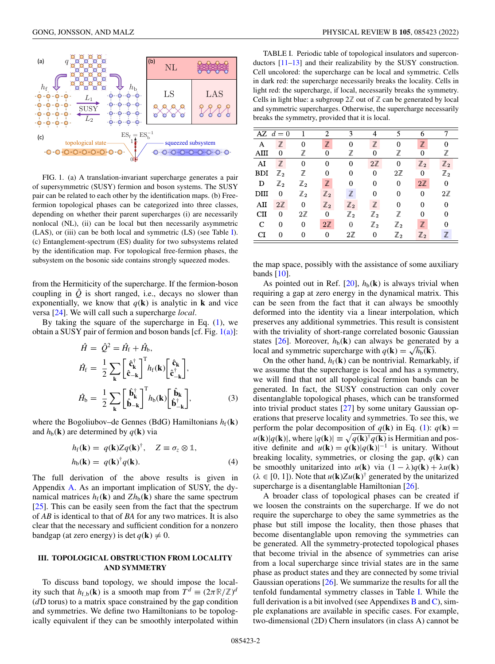<span id="page-1-0"></span>

FIG. 1. (a) A translation-invariant supercharge generates a pair of supersymmetric (SUSY) fermion and boson systems. The SUSY pair can be related to each other by the identification maps. (b) Freefermion topological phases can be categorized into three classes, depending on whether their parent supercharges (i) are necessarily nonlocal (NL), (ii) can be local but then necessarily asymmetric (LAS), or (iii) can be both local and symmetric (LS) (see Table I). (c) Entanglement-spectrum (ES) duality for two subsystems related by the identification map. For topological free-fermion phases, the subsystem on the bosonic side contains strongly squeezed modes.

from the Hermiticity of the supercharge. If the fermion-boson coupling in  $\hat{Q}$  is short ranged, i.e., decays no slower than exponentially, we know that  $q(\mathbf{k})$  is analytic in **k** and vice versa [\[24\]](#page-9-0). We will call such a supercharge *local*.

By taking the square of the supercharge in Eq.  $(1)$ , we obtain a SUSY pair of fermion and boson bands [cf. Fig. 1(a)]:

$$
\hat{H} = \hat{Q}^2 = \hat{H}_{\rm f} + \hat{H}_{\rm b},
$$
\n
$$
\hat{H}_{\rm f} = \frac{1}{2} \sum_{\mathbf{k}} \left[ \hat{\mathbf{c}}_{\mathbf{k}}^{\dagger} \right]^{\rm T} h_{\rm f}(\mathbf{k}) \left[ \hat{\mathbf{c}}_{\mathbf{k}}^{\dagger} \right],
$$
\n
$$
\hat{H}_{\rm b} = \frac{1}{2} \sum_{\mathbf{k}} \left[ \hat{\mathbf{b}}_{\mathbf{k}}^{\dagger} \right]^{\rm T} h_{\rm b}(\mathbf{k}) \left[ \hat{\mathbf{b}}_{\mathbf{k}}^{\dagger} \right],
$$
\n(3)

where the Bogoliubov–de Gennes (BdG) Hamiltonians  $h_f(\mathbf{k})$ and  $h_{b}(\mathbf{k})$  are determined by  $q(\mathbf{k})$  via

$$
h_{\mathrm{f}}(\mathbf{k}) = q(\mathbf{k}) Z q(\mathbf{k})^{\dagger}, \quad Z \equiv \sigma_{z} \otimes \mathbb{1},
$$
  
\n
$$
h_{\mathrm{b}}(\mathbf{k}) = q(\mathbf{k})^{\dagger} q(\mathbf{k}). \tag{4}
$$

The full derivation of the above results is given in Appendix [A.](#page-4-0) As an important implication of SUSY, the dynamical matrices  $h_f(\mathbf{k})$  and  $Zh_b(\mathbf{k})$  share the same spectrum  $[25]$ . This can be easily seen from the fact that the spectrum of *AB* is identical to that of *BA* for any two matrices. It is also clear that the necessary and sufficient condition for a nonzero bandgap (at zero energy) is det  $q(\mathbf{k}) \neq 0$ .

# **III. TOPOLOGICAL OBSTRUCTION FROM LOCALITY AND SYMMETRY**

To discuss band topology, we should impose the locality such that  $h_{f,b}(\mathbf{k})$  is a smooth map from  $T^d \equiv (2\pi \mathbb{R}/\mathbb{Z})^d$ (*d*D torus) to a matrix space constrained by the gap condition and symmetries. We define two Hamiltonians to be topologically equivalent if they can be smoothly interpolated within

TABLE I. Periodic table of topological insulators and superconductors [\[11–13\]](#page-9-0) and their realizability by the SUSY construction. Cell uncolored: the supercharge can be local and symmetric. Cells in dark red: the supercharge necessarily breaks the locality. Cells in light red: the supercharge, if local, necessarily breaks the symmetry. Cells in light blue: a subgroup  $2\mathbb{Z}$  out of  $\mathbb{Z}$  can be generated by local and symmetric supercharges. Otherwise, the supercharge necessarily breaks the symmetry, provided that it is local.

|             | AZ $d=0$       |                  | $\mathfrak{D}$ | 3              | 4              | 5              | 6              |                |
|-------------|----------------|------------------|----------------|----------------|----------------|----------------|----------------|----------------|
| Α           | $\mathbb Z$    | $\overline{0}$   | $\mathbb{Z}$   | 0              | $\mathbb{Z}$   | 0              | $\mathbb{Z}$   |                |
| $\rm{AIII}$ | 0              | Z                | 0              | Z              | 0              | $\mathbb Z$    | 0              | Z              |
| AI          | $\mathbb{Z}$   | $\boldsymbol{0}$ |                | 0              | $2\mathbb{Z}$  | 0              | $\mathbb{Z}_2$ | $\mathbb{Z}_2$ |
| <b>BDI</b>  | $\mathbb{Z}_2$ | Z                | 0              | 0              | 0              | $2\mathbb{Z}$  | 0              | $\mathbb{Z}_2$ |
| D           | $\mathbb{Z}_2$ | $\mathbb{Z}_2$   | $\mathbb{Z}$   | 0              | 0              | 0              | $2\mathbb{Z}$  | $\overline{0}$ |
| DIII        | 0              | $\mathbb{Z}_2$   | $\mathbb{Z}_2$ | $\mathbb{Z}$   | 0              | 0              | $\overline{0}$ | $2\mathbb{Z}$  |
| AП          | $2\mathbb{Z}$  | $\overline{0}$   | $\mathbb{Z}_2$ | $\mathbb{Z}_2$ | $\mathbb{Z}$   | 0              | 0              | $\Omega$       |
| $\rm CII$   | 0              | $2\mathbb{Z}$    | 0              | $\mathbb{Z}_2$ | $\mathbb{Z}_2$ | 7              | 0              | 0              |
| C           | 0              | $\boldsymbol{0}$ | $2\mathbb{Z}$  | $\overline{0}$ | $\mathbb{Z}_2$ | $\mathbb{Z}_2$ | $\mathbb{Z}$   | 0              |
| CI          | 0              | 0                | 0              | $2\mathbb{Z}$  | $\overline{0}$ | $\mathbb{Z}_2$ | $\mathbb{Z}_2$ | $\mathbb Z$    |

the map space, possibly with the assistance of some auxiliary bands  $[10]$ .

As pointed out in Ref.  $[20]$ ,  $h_b(\mathbf{k})$  is always trivial when requiring a gap at zero energy in the dynamical matrix. This can be seen from the fact that it can always be smoothly deformed into the identity via a linear interpolation, which preserves any additional symmetries. This result is consistent with the triviality of short-range correlated bosonic Gaussian states  $[26]$ . Moreover,  $h_b(\mathbf{k})$  can always be generated by a local and symmetric supercharge with  $q(\mathbf{k}) = \sqrt{h_b(\mathbf{k})}$ .

On the other hand,  $h_f(\mathbf{k})$  can be nontrivial. Remarkably, if we assume that the supercharge is local and has a symmetry, we will find that not all topological fermion bands can be generated. In fact, the SUSY construction can only cover disentanglable topological phases, which can be transformed into trivial product states [\[27\]](#page-10-0) by some unitary Gaussian operations that preserve locality and symmetries. To see this, we perform the polar decomposition of  $q(\mathbf{k})$  in Eq. [\(1\)](#page-0-0):  $q(\mathbf{k}) =$  $u(\mathbf{k})|q(\mathbf{k})|$ , where  $|q(\mathbf{k})| \equiv \sqrt{q(\mathbf{k})^{\dagger}q(\mathbf{k})}$  is Hermitian and positive definite and  $u(\mathbf{k}) = q(\mathbf{k})|q(\mathbf{k})|^{-1}$  is unitary. Without breaking locality, symmetries, or closing the gap,  $q(\mathbf{k})$  can be smoothly unitarized into  $u(\mathbf{k})$  via  $(1 - \lambda)q(\mathbf{k}) + \lambda u(\mathbf{k})$  $(\lambda \in [0, 1])$ . Note that  $u(\mathbf{k})Zu(\mathbf{k})^{\dagger}$  generated by the unitarized supercharge is a disentanglable Hamiltonian [\[26\]](#page-10-0).

A broader class of topological phases can be created if we loosen the constraints on the supercharge. If we do not require the supercharge to obey the same symmetries as the phase but still impose the locality, then those phases that become disentanglable upon removing the symmetries can be generated. All the symmetry-protected topological phases that become trivial in the absence of symmetries can arise from a local supercharge since trivial states are in the same phase as product states and they are connected by some trivial Gaussian operations [\[26\]](#page-10-0). We summarize the results for all the tenfold fundamental symmetry classes in Table I. While the full derivation is a bit involved (see Appendixes  $\overline{B}$  $\overline{B}$  $\overline{B}$  and  $\overline{C}$ ), simple explanations are available in specific cases. For example, two-dimensional (2D) Chern insulators (in class A) cannot be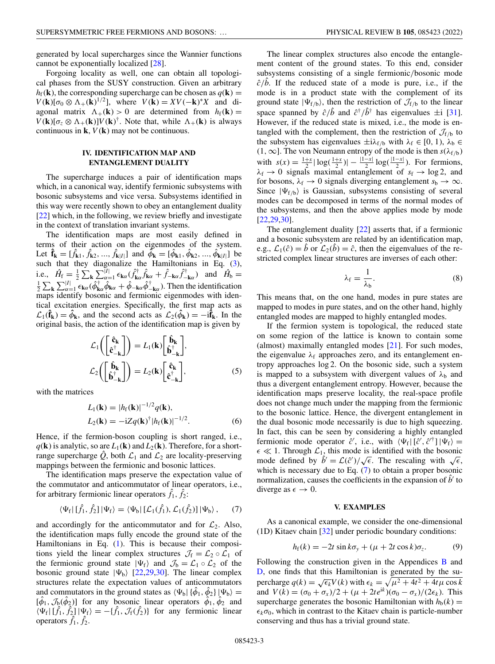<span id="page-2-0"></span>generated by local supercharges since the Wannier functions cannot be exponentially localized [\[28\]](#page-10-0).

Forgoing locality as well, one can obtain all topological phases from the SUSY construction. Given an arbitrary  $h_f(\mathbf{k})$ , the corresponding supercharge can be chosen as  $q(\mathbf{k}) =$  $V(\mathbf{k})[\sigma_0 \otimes \Lambda_+(\mathbf{k})^{1/2}]$ , where  $V(\mathbf{k}) = XV(-\mathbf{k})^*X$  and diagonal matrix  $\Lambda_+(\mathbf{k}) > 0$  are determined from  $h_f(\mathbf{k}) =$  $V(\mathbf{k})[\sigma_z \otimes \Lambda_+(\mathbf{k})]V(\mathbf{k})^{\dagger}$ . Note that, while  $\Lambda_+(\mathbf{k})$  is always continuous in  $\mathbf{k}$ ,  $V(\mathbf{k})$  may not be continuous.

# **IV. IDENTIFICATION MAP AND ENTANGLEMENT DUALITY**

The supercharge induces a pair of identification maps which, in a canonical way, identify fermionic subsystems with bosonic subsystems and vice versa. Subsystems identified in this way were recently shown to obey an entanglement duality [\[22\]](#page-9-0) which, in the following, we review briefly and investigate in the context of translation invariant systems.

The identification maps are most easily defined in terms of their action on the eigenmodes of the system. Let  $\hat{\mathbf{f}}_{\mathbf{k}} = [\hat{f}_{\mathbf{k}1}, \hat{f}_{\mathbf{k}2}, ..., \hat{f}_{\mathbf{k}|I|}]$  and  $\tilde{\phi}_{\mathbf{k}} = [\hat{\phi}_{\mathbf{k}1}, \hat{\phi}_{\mathbf{k}2}, ..., \hat{\phi}_{\mathbf{k}|I|}]$  be such that they diagonalize the Hamiltonians in Eq. [\(3\)](#page-1-0), i.e.,  $\hat{H}_{\text{f}} = \frac{1}{2} \sum_{\mathbf{k}} \sum_{\alpha=1}^{[I]} \epsilon_{\mathbf{k}\alpha} (\hat{f}_{\mathbf{k}\alpha}^{\dagger} \hat{f}_{\mathbf{k}\alpha} + \hat{f}_{-\mathbf{k}\alpha} \hat{f}_{-\mathbf{k}\alpha}^{\dagger})$  and  $\hat{H}_{\text{b}} =$  $\frac{1}{2} \sum_{\mathbf{k}} \sum_{\alpha=1}^{|I|} \epsilon_{\mathbf{k}\alpha} (\hat{\phi}_{\mathbf{k}\alpha}^{\dagger} \hat{\phi}_{\mathbf{k}\alpha} + \hat{\phi}_{-\mathbf{k}\alpha} \hat{\phi}_{-\mathbf{k}\alpha}^{\dagger})$ . Then the identification maps identify bosonic and fermionic eigenmodes with identical excitation energies. Specifically, the first map acts as  $\mathcal{L}_1(\hat{\mathbf{f}}_k) = \hat{\phi}_k$ , and the second acts as  $\mathcal{L}_2(\hat{\phi}_k) = -i\hat{\mathbf{f}}_k$ . In the original basis, the action of the identification map is given by

$$
\mathcal{L}_1 \left( \begin{bmatrix} \hat{\mathbf{c}}_{\mathbf{k}} \\ \hat{\mathbf{c}}_{-\mathbf{k}}^{\dagger} \end{bmatrix} \right) = L_1(\mathbf{k}) \begin{bmatrix} \hat{\mathbf{b}}_{\mathbf{k}} \\ \hat{\mathbf{b}}_{-\mathbf{k}}^{\dagger} \end{bmatrix},
$$

$$
\mathcal{L}_2 \left( \begin{bmatrix} \hat{\mathbf{b}}_{\mathbf{k}} \\ \hat{\mathbf{b}}_{-\mathbf{k}}^{\dagger} \end{bmatrix} \right) = L_2(\mathbf{k}) \begin{bmatrix} \hat{\mathbf{c}}_{\mathbf{k}} \\ \hat{\mathbf{c}}_{-\mathbf{k}}^{\dagger} \end{bmatrix},
$$
(5)

with the matrices

$$
L_1(\mathbf{k}) = |h_f(\mathbf{k})|^{-1/2} q(\mathbf{k}),
$$
  
\n
$$
L_2(\mathbf{k}) = -iZq(\mathbf{k})^{\dagger} |h_f(\mathbf{k})|^{-1/2}.
$$
\n(6)

Hence, if the fermion-boson coupling is short ranged, i.e.,  $q(\mathbf{k})$  is analytic, so are  $L_1(\mathbf{k})$  and  $L_2(\mathbf{k})$ . Therefore, for a shortrange supercharge  $\hat{Q}$ , both  $\mathcal{L}_1$  and  $\mathcal{L}_2$  are locality-preserving mappings between the fermionic and bosonic lattices.

The identification maps preserve the expectation value of the commutator and anticommutator of linear operators, i.e., for arbitrary fermionic linear operators  $\hat{f}_1$ ,  $\hat{f}_2$ :

$$
\langle \Psi_{\rm f} | [\hat{f}_1, \hat{f}_2] | \Psi_{\rm f} \rangle = \langle \Psi_{\rm b} | [\mathcal{L}_1(\hat{f}_1), \mathcal{L}_1(\hat{f}_2)] | \Psi_{\rm b} \rangle, \qquad (7)
$$

and accordingly for the anticommutator and for  $\mathcal{L}_2$ . Also, the identification maps fully encode the ground state of the Hamiltonians in Eq. [\(1\)](#page-0-0). This is because their compositions yield the linear complex structures  $\mathcal{J}_f = \mathcal{L}_2 \circ \mathcal{L}_1$  of the fermionic ground state  $|\Psi_f\rangle$  and  $\mathcal{J}_b = \mathcal{L}_1 \circ \mathcal{L}_2$  of the bosonic ground state  $|\Psi_{b}\rangle$  [\[22](#page-9-0)[,29,30\]](#page-10-0). The linear complex structures relate the expectation values of anticommutators and commutators in the ground states as  $\langle \Psi_b | \{\hat{\phi}_1, \hat{\phi}_2\} | \Psi_b \rangle =$  $[\hat{\phi}_1, \mathcal{J}_p(\hat{\phi}_2)]$  for any bosonic linear operators  $\hat{\phi}_1, \hat{\phi}_2$  and  $\langle \Psi_f | [\hat{f}_1, \hat{f}_2] | \Psi_f \rangle = -\{\hat{f}_1, \mathcal{J}_f(\hat{f}_2)\}\$ for any fermionic linear operators  $f_1, f_2$ .

The linear complex structures also encode the entanglement content of the ground states. To this end, consider subsystems consisting of a single fermionic/bosonic mode  $\hat{c}/\hat{b}$ . If the reduced state of a mode is pure, i.e., if the mode is in a product state with the complement of its ground state  $|\Psi_{f/b}\rangle$ , then the restriction of  $\mathcal{J}_{f/b}$  to the linear space spanned by  $\hat{c}/\hat{b}$  and  $\hat{c}^{\dagger}/\hat{b}^{\dagger}$  has eigenvalues  $\pm i$  [\[31\]](#page-10-0). However, if the reduced state is mixed, i.e., the mode is entangled with the complement, then the restriction of  $\mathcal{J}_{f/b}$  to the subsystem has eigenvalues  $\pm i\lambda_{f/b}$  with  $\lambda_f \in [0, 1)$ ,  $\lambda_b \in$ (1, ∞). The von Neumann entropy of the mode is then *s*( $λ$ <sub>f/b</sub>) with  $s(x) = \frac{1+x}{2} |\log(\frac{1+x}{2})| - \frac{|1-x|}{2} \log(\frac{|1-x|}{2})$ . For fermions,  $\lambda_f \rightarrow 0$  signals maximal entanglement of  $s_f \rightarrow \log 2$ , and for bosons,  $\lambda_f \rightarrow 0$  signals diverging entanglement  $s_b \rightarrow \infty$ . Since  $|\Psi_{f/b}\rangle$  is Gaussian, subsystems consisting of several modes can be decomposed in terms of the normal modes of the subsystems, and then the above applies mode by mode [\[22](#page-9-0)[,29,30\]](#page-10-0).

The entanglement duality [\[22\]](#page-9-0) asserts that, if a fermionic and a bosonic subsystem are related by an identification map, e.g.,  $\mathcal{L}_1(\hat{c}) = \hat{b}$  or  $\mathcal{L}_2(\hat{b}) = \hat{c}$ , then the eigenvalues of the restricted complex linear structures are inverses of each other:

$$
\lambda_{\rm f} = \frac{1}{\lambda_{\rm b}}.\tag{8}
$$

This means that, on the one hand, modes in pure states are mapped to modes in pure states, and on the other hand, highly entangled modes are mapped to highly entangled modes.

If the fermion system is topological, the reduced state on some region of the lattice is known to contain some (almost) maximally entangled modes [\[21\]](#page-9-0). For such modes, the eigenvalue  $\lambda_f$  approaches zero, and its entanglement entropy approaches log 2. On the bosonic side, such a system is mapped to a subsystem with divergent values of  $\lambda_b$  and thus a divergent entanglement entropy. However, because the identification maps preserve locality, the real-space profile does not change much under the mapping from the fermionic to the bosonic lattice. Hence, the divergent entanglement in the dual bosonic mode necessarily is due to high squeezing. In fact, this can be seen by considering a highly entangled fermionic mode operator  $\hat{c}'$ , i.e., with  $\langle \Psi_f | [\hat{c}', \hat{c}'^{\dagger}] | \Psi_f \rangle =$  $\epsilon \ll 1$ . Through  $\mathcal{L}_1$ , this mode is identified with the bosonic  $\epsilon \ll 1$ . Through  $L_1$ , this mode is defined with the bosonic mode defined by  $\hat{b}' = \mathcal{L}(\hat{c}')/\sqrt{\epsilon}$ . The rescaling with  $\sqrt{\epsilon}$ , which is necessary due to Eq. (7) to obtain a proper bosonic normalization, causes the coefficients in the expansion of  $\hat{b}^{\prime}$  to diverge as  $\epsilon \to 0$ .

### **V. EXAMPLES**

As a canonical example, we consider the one-dimensional (1D) Kitaev chain [\[32\]](#page-10-0) under periodic boundary conditions:

$$
h_{\rm f}(k) = -2t \sin k\sigma_{\rm y} + (\mu + 2t \cos k)\sigma_{\rm z}.
$$
 (9)

Following the construction given in the Appendices  $\bf{B}$  $\bf{B}$  $\bf{B}$  and [D,](#page-8-0) one finds that this Hamiltonian is generated by the supercharge  $q(k) = \sqrt{\epsilon_k}V(k)$  with  $\epsilon_k = \sqrt{\mu^2 + 4t^2 + 4t\mu \cos k}$ and  $V(k) = (\sigma_0 + \sigma_x)/2 + (\mu + 2te^{ik})(\sigma_0 - \sigma_x)/(2\epsilon_k)$ . This supercharge generates the bosonic Hamiltonian with  $h_b(k) =$  $\epsilon_k \sigma_0$ , which in contrast to the Kitaev chain is particle-number conserving and thus has a trivial ground state.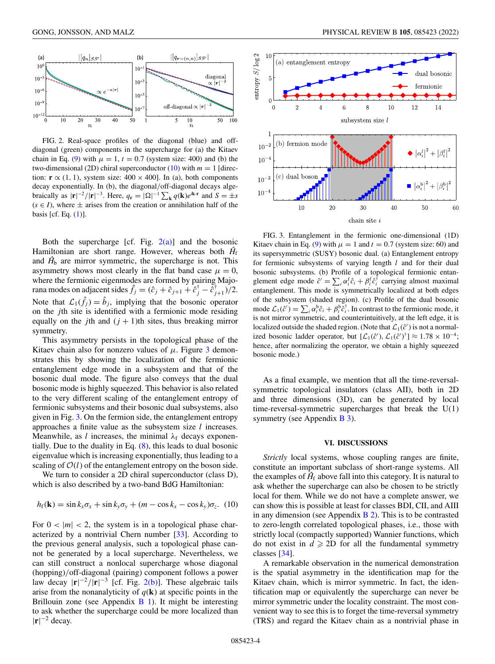<span id="page-3-0"></span>

FIG. 2. Real-space profiles of the diagonal (blue) and offdiagonal (green) components in the supercharge for (a) the Kitaev chain in Eq. [\(9\)](#page-2-0) with  $\mu = 1$ ,  $t = 0.7$  (system size: 400) and (b) the two-dimensional (2D) chiral superconductor  $(10)$  with  $m = 1$  [direction: **r**  $\propto$  (1, 1), system size: 400 × 400]. In (a), both components decay exponentially. In (b), the diagonal/off-diagonal decays algebraically as  $|\mathbf{r}|^{-2}/|\mathbf{r}|^{-3}$ . Here,  $q_{\mathbf{r}} = |\Omega|^{-1} \sum_{\mathbf{k}} q(\mathbf{k}) e^{i\mathbf{k} \cdot \mathbf{r}}$  and  $S = \pm s$  $(s \in I)$ , where  $\pm$  arises from the creation or annihilation half of the basis [cf. Eq.  $(1)$ ].

Both the supercharge [cf. Fig.  $2(a)$ ] and the bosonic Hamiltonian are short range. However, whereas both  $H<sub>f</sub>$ and  $\hat{H}_b$  are mirror symmetric, the supercharge is not. This asymmetry shows most clearly in the flat band case  $\mu = 0$ , where the fermionic eigenmodes are formed by pairing Majorana modes on adjacent sides  $\hat{f}_j = (\hat{c}_j + \hat{c}_{j+1} + \hat{c}_j^{\dagger} - \hat{c}_{j+1}^{\dagger})/2$ . Note that  $\mathcal{L}_1(\hat{f}_i) = \hat{b}_i$ , implying that the bosonic operator on the *j*th site is identified with a fermionic mode residing equally on the *j*th and  $(j + 1)$ th sites, thus breaking mirror symmetry.

This asymmetry persists in the topological phase of the Kitaev chain also for nonzero values of  $\mu$ . Figure 3 demonstrates this by showing the localization of the fermionic entanglement edge mode in a subsystem and that of the bosonic dual mode. The figure also conveys that the dual bosonic mode is highly squeezed. This behavior is also related to the very different scaling of the entanglement entropy of fermionic subsystems and their bosonic dual subsystems, also given in Fig. 3. On the fermion side, the entanglement entropy approaches a finite value as the subsystem size *l* increases. Meanwhile, as *l* increases, the minimal  $\lambda_f$  decays exponentially. Due to the duality in Eq. [\(8\)](#page-2-0), this leads to dual bosonic eigenvalue which is increasing exponentially, thus leading to a scaling of  $O(l)$  of the entanglement entropy on the boson side.

We turn to consider a 2D chiral superconductor (class D), which is also described by a two-band BdG Hamiltonian:

$$
h_{\rm f}(\mathbf{k}) = \sin k_x \sigma_x + \sin k_y \sigma_y + (m - \cos k_x - \cos k_y) \sigma_z. (10)
$$

For  $0 < |m| < 2$ , the system is in a topological phase characterized by a nontrivial Chern number [\[33\]](#page-10-0). According to the previous general analysis, such a topological phase cannot be generated by a local supercharge. Nevertheless, we can still construct a nonlocal supercharge whose diagonal (hopping)/off-diagonal (pairing) component follows a power law decay  $|\mathbf{r}|^{-2}/|\mathbf{r}|^{-3}$  [cf. Fig. 2(b)]. These algebraic tails arise from the nonanalyticity of  $q(\mathbf{k})$  at specific points in the Brillouin zone (see Appendix  $\overline{B}$  1). It might be interesting to ask whether the supercharge could be more localized than  $|\mathbf{r}|^{-2}$  decay.



FIG. 3. Entanglement in the fermionic one-dimensional (1D) Kitaev chain in Eq. [\(9\)](#page-2-0) with  $\mu = 1$  and  $t = 0.7$  (system size: 60) and its supersymmetric (SUSY) bosonic dual. (a) Entanglement entropy for fermionic subsystems of varying length *l* and for their dual bosonic subsystems. (b) Profile of a topological fermionic entanglement edge mode  $\hat{c}' = \sum_i \alpha_i^f \hat{c}_i + \beta_i^f \hat{c}_i^{\dagger}$  carrying almost maximal entanglement. This mode is symmetrically localized at both edges of the subsystem (shaded region). (c) Profile of the dual bosonic mode  $\mathcal{L}_1(\hat{c}') = \sum_i \alpha_i^b \hat{c}_i + \beta_i^b \hat{c}_i^{\dagger}$ . In contrast to the fermionic mode, it is not mirror symmetric, and counterintuitively, at the left edge, it is localized outside the shaded region. (Note that  $\mathcal{L}_1(\hat{c}')$  is not a normalized bosonic ladder operator, but  $[\mathcal{L}_1(\hat{c}'), \mathcal{L}_1(\hat{c}')^{\dagger}] \approx 1.78 \times 10^{-4}$ ; hence, after normalizing the operator, we obtain a highly squeezed bosonic mode.)

As a final example, we mention that all the time-reversalsymmetric topological insulators (class AII), both in 2D and three dimensions (3D), can be generated by local time-reversal-symmetric supercharges that break the  $U(1)$ symmetry (see Appendix [B 3\)](#page-7-0).

### **VI. DISCUSSIONS**

*Strictly* local systems, whose coupling ranges are finite, constitute an important subclass of short-range systems. All the examples of  $\hat{H}_f$  above fall into this category. It is natural to ask whether the supercharge can also be chosen to be strictly local for them. While we do not have a complete answer, we can show this is possible at least for classes BDI, CII, and AIII in any dimension (see Appendix  $\overline{B}$  2). This is to be contrasted to zero-length correlated topological phases, i.e., those with strictly local (compactly supported) Wannier functions, which do not exist in  $d \ge 2D$  for all the fundamental symmetry classes [\[34\]](#page-10-0).

A remarkable observation in the numerical demonstration is the spatial asymmetry in the identification map for the Kitaev chain, which is mirror symmetric. In fact, the identification map or equivalently the supercharge can never be mirror symmetric under the locality constraint. The most convenient way to see this is to forget the time-reversal symmetry (TRS) and regard the Kitaev chain as a nontrivial phase in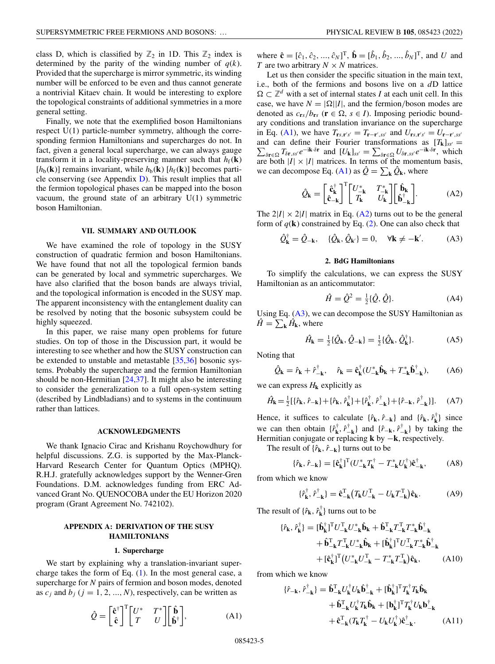<span id="page-4-0"></span>class D, which is classified by  $\mathbb{Z}_2$  in 1D. This  $\mathbb{Z}_2$  index is determined by the parity of the winding number of  $q(k)$ . Provided that the supercharge is mirror symmetric, its winding number will be enforced to be even and thus cannot generate a nontrivial Kitaev chain. It would be interesting to explore the topological constraints of additional symmetries in a more general setting.

Finally, we note that the exemplified boson Hamiltonians respect U(1) particle-number symmetry, although the corresponding fermion Hamiltonians and supercharges do not. In fact, given a general local supercharge, we can always gauge transform it in a locality-preserving manner such that  $h_f(\mathbf{k})$  $[h_b(\mathbf{k})]$  remains invariant, while  $h_b(\mathbf{k})$  [ $h_f(\mathbf{k})$ ] becomes particle conserving (see Appendix [D\)](#page-8-0). This result implies that all the fermion topological phases can be mapped into the boson vacuum, the ground state of an arbitrary  $U(1)$  symmetric boson Hamiltonian.

### **VII. SUMMARY AND OUTLOOK**

We have examined the role of topology in the SUSY construction of quadratic fermion and boson Hamiltonians. We have found that not all the topological fermion bands can be generated by local and symmetric supercharges. We have also clarified that the boson bands are always trivial, and the topological information is encoded in the SUSY map. The apparent inconsistency with the entanglement duality can be resolved by noting that the bosonic subsystem could be highly squeezed.

In this paper, we raise many open problems for future studies. On top of those in the Discussion part, it would be interesting to see whether and how the SUSY construction can be extended to unstable and metastable [\[35,36\]](#page-10-0) bosonic systems. Probably the supercharge and the fermion Hamiltonian should be non-Hermitian  $[24,37]$  $[24,37]$ . It might also be interesting to consider the generalization to a full open-system setting (described by Lindbladians) and to systems in the continuum rather than lattices.

#### **ACKNOWLEDGMENTS**

We thank Ignacio Cirac and Krishanu Roychowdhury for helpful discussions. Z.G. is supported by the Max-Planck-Harvard Research Center for Quantum Optics (MPHQ). R.H.J. gratefully acknowledges support by the Wenner-Gren Foundations. D.M. acknowledges funding from ERC Advanced Grant No. QUENOCOBA under the EU Horizon 2020 program (Grant Agreement No. 742102).

# **APPENDIX A: DERIVATION OF THE SUSY HAMILTONIANS**

#### **1. Supercharge**

We start by explaining why a translation-invariant supercharge takes the form of Eq.  $(1)$ . In the most general case, a supercharge for *N* pairs of fermion and boson modes, denoted as  $c_j$  and  $b_j$  ( $j = 1, 2, ..., N$ ), respectively, can be written as

$$
\hat{Q} = \begin{bmatrix} \hat{\mathbf{c}}^{\dagger} \\ \hat{\mathbf{c}} \end{bmatrix}^{\mathrm{T}} \begin{bmatrix} U^* & T^* \\ T & U \end{bmatrix} \begin{bmatrix} \hat{\mathbf{b}} \\ \hat{\mathbf{b}}^{\dagger} \end{bmatrix}, \tag{A1}
$$

where  $\hat{\bf{c}} = [\hat{c}_1, \hat{c}_2, ..., \hat{c}_N]^T$ ,  $\hat{\bf{b}} = [\hat{b}_1, \hat{b}_2, ..., \hat{b}_N]^T$ , and *U* and *T* are two arbitrary  $N \times N$  matrices.

Let us then consider the specific situation in the main text, i.e., both of the fermions and bosons live on a *d*D lattice  $\Omega \subset \mathbb{Z}^d$  with a set of internal states *I* at each unit cell. In this case, we have  $N = |\Omega||I|$ , and the fermion/boson modes are denoted as  $c_{rs}/b_{rs}$  ( $\mathbf{r} \in \Omega$ ,  $s \in I$ ). Imposing periodic boundary conditions and translation invariance on the supercharge in Eq. (A1), we have  $T_{rs, r's'} = T_{r-r', ss'}$  and  $U_{rs, r's'} = U_{r-r', ss'}$ and can define their Fourier transformations as  $[T_k]_{ss'} =$ and can define their Fourier transformations as  $[T_{k}]_{ss'} = \sum_{\delta \mathbf{r} \in \Omega} T_{\delta \mathbf{r},ss'} e^{-i\mathbf{k}\cdot\delta \mathbf{r}}$  and  $[U_{k}]_{ss'} = \sum_{\delta \mathbf{r} \in \Omega} U_{\delta \mathbf{r},ss'} e^{-i\mathbf{k}\cdot\delta \mathbf{r}}$ , which are both  $|I| \times |I|$  matrices. In terms of the momentum basis, we can decompose Eq. (A1) as  $\hat{Q} = \sum_{\mathbf{k}} \hat{Q}_{\mathbf{k}}$ , where

$$
\hat{Q}_{\mathbf{k}} = \begin{bmatrix} \hat{\mathbf{c}}_{\mathbf{k}}^{\dagger} \\ \hat{\mathbf{c}}_{-\mathbf{k}} \end{bmatrix}^{\mathrm{T}} \begin{bmatrix} U_{-\mathbf{k}}^{*} & T_{-\mathbf{k}}^{*} \\ T_{\mathbf{k}} & U_{\mathbf{k}} \end{bmatrix} \begin{bmatrix} \hat{\mathbf{b}}_{\mathbf{k}} \\ \hat{\mathbf{b}}_{-\mathbf{k}}^{\dagger} \end{bmatrix} . \tag{A2}
$$

The  $2|I| \times 2|I|$  matrix in Eq. (A2) turns out to be the general form of  $q(\mathbf{k})$  constrained by Eq. [\(2\)](#page-0-0). One can also check that

$$
\hat{Q}_{\mathbf{k}}^{\dagger} = \hat{Q}_{-\mathbf{k}}, \quad \{\hat{Q}_{\mathbf{k}}, \hat{Q}_{\mathbf{k}'}\} = 0, \quad \forall \mathbf{k} \neq -\mathbf{k}'. \tag{A3}
$$

#### **2. BdG Hamiltonians**

To simplify the calculations, we can express the SUSY Hamiltonian as an anticommutator:

$$
\hat{H} = \hat{Q}^2 = \frac{1}{2} \{\hat{Q}, \hat{Q}\}.
$$
 (A4)

Using Eq.  $(A3)$ , we can decompose the SUSY Hamiltonian as  $\hat{H} = \sum_{\mathbf{k}} \hat{H}_{\mathbf{k}}$ , where

$$
\hat{H}_{\mathbf{k}} = \frac{1}{2} \{ \hat{Q}_{\mathbf{k}}, \hat{Q}_{-\mathbf{k}} \} = \frac{1}{2} \{ \hat{Q}_{\mathbf{k}}, \hat{Q}_{\mathbf{k}}^{\dagger} \}. \tag{A5}
$$

Noting that

$$
\hat{Q}_{\mathbf{k}} = \hat{r}_{\mathbf{k}} + \hat{r}_{-\mathbf{k}}^{\dagger}, \quad \hat{r}_{\mathbf{k}} = \hat{\mathbf{c}}_{\mathbf{k}}^{\dagger} (U_{-\mathbf{k}}^{*} \hat{\mathbf{b}}_{\mathbf{k}} + T_{-\mathbf{k}}^{*} \hat{\mathbf{b}}_{-\mathbf{k}}^{\dagger}), \tag{A6}
$$

we can express  $H_k$  explicitly as

$$
\hat{H}_{\mathbf{k}} = \frac{1}{2} [\{\hat{r}_{\mathbf{k}}, \hat{r}_{-\mathbf{k}}\} + \{\hat{r}_{\mathbf{k}}, \hat{r}_{\mathbf{k}}^{\dagger}\} + \{\hat{r}_{\mathbf{k}}^{\dagger}, \hat{r}_{-\mathbf{k}}^{\dagger}\} + \{\hat{r}_{-\mathbf{k}}, \hat{r}_{-\mathbf{k}}^{\dagger}\}].
$$
 (A7)

Hence, it suffices to calculate  $\{\hat{r}_k, \hat{r}_{-k}\}\$  and  $\{\hat{r}_k, \hat{r}_k^{\dagger}\}\$  since we can then obtain  $\{\hat{r}_k^{\dagger}, \hat{r}_{-k}^{\dagger}\}\$  and  $\{\hat{r}_{-k}, \hat{r}_{-k}^{\dagger}\}\$  by taking the Hermitian conjugate or replacing **k** by −**k**, respectively.

The result of  $\{\hat{r}_k, \hat{r}_{-k}\}\$  turns out to be

$$
\{\hat{r}_{k}, \hat{r}_{-k}\} = [\hat{c}_{k}^{\dagger}]^{T} (U_{-k}^{*} T_{k}^{\dagger} - T_{-k}^{*} U_{k}^{\dagger}) \hat{c}_{-k}^{\dagger}, \tag{A8}
$$

from which we know

$$
\{\hat{r}_{\mathbf{k}}^{\dagger},\hat{r}_{-\mathbf{k}}^{\dagger}\}=\hat{\mathbf{c}}_{-\mathbf{k}}^{\mathrm{T}}\big(T_{\mathbf{k}}U_{-\mathbf{k}}^{\mathrm{T}}-U_{\mathbf{k}}T_{-\mathbf{k}}^{\mathrm{T}}\big)\hat{\mathbf{c}}_{\mathbf{k}}.\tag{A9}
$$

The result of  $\{\hat{r}_k, \hat{r}_k^{\dagger}\}\)$  turns out to be

$$
\{\hat{r}_{k}, \hat{r}_{k}^{\dagger}\} = [\hat{\mathbf{b}}_{k}^{\dagger}]^{T} U_{-k}^{T} U_{-k}^{*} \hat{\mathbf{b}}_{k} + \hat{\mathbf{b}}_{-k}^{T} T_{-k}^{T} T_{-k}^{*} \hat{\mathbf{b}}_{-k}^{\dagger} \n+ \hat{\mathbf{b}}_{-k}^{T} T_{-k}^{T} U_{-k}^{*} \hat{\mathbf{b}}_{k} + [\hat{\mathbf{b}}_{k}^{\dagger}]^{T} U_{-k}^{T} T_{-k}^{*} \hat{\mathbf{b}}_{-k}^{\dagger} \n+ [\hat{\mathbf{c}}_{k}^{\dagger}]^{T} (U_{-k}^{*} U_{-k}^{T} - T_{-k}^{*} T_{-k}^{T}) \hat{\mathbf{c}}_{k}, \tag{A10}
$$

from which we know

$$
\{\hat{r}_{-\mathbf{k}}, \hat{r}_{-\mathbf{k}}^{\dagger}\} = \hat{\mathbf{b}}_{-\mathbf{k}}^{T} U_{\mathbf{k}}^{\dagger} U_{\mathbf{k}} \hat{\mathbf{b}}_{-\mathbf{k}}^{\dagger} + [\hat{\mathbf{b}}_{\mathbf{k}}^{\dagger}]^{T} T_{\mathbf{k}}^{\dagger} T_{\mathbf{k}} \hat{\mathbf{b}}_{\mathbf{k}} \n+ \hat{\mathbf{b}}_{-\mathbf{k}}^{T} U_{\mathbf{k}}^{\dagger} T_{\mathbf{k}} \hat{\mathbf{b}}_{\mathbf{k}} + [\mathbf{b}_{\mathbf{k}}^{\dagger}]^{T} T_{\mathbf{k}}^{\dagger} U_{\mathbf{k}} \mathbf{b}_{-\mathbf{k}}^{\dagger} \n+ \hat{\mathbf{c}}_{-\mathbf{k}}^{T} (T_{\mathbf{k}} T_{\mathbf{k}}^{\dagger} - U_{\mathbf{k}} U_{\mathbf{k}}^{\dagger}) \hat{\mathbf{c}}_{-\mathbf{k}}^{\dagger}.
$$
\n(A11)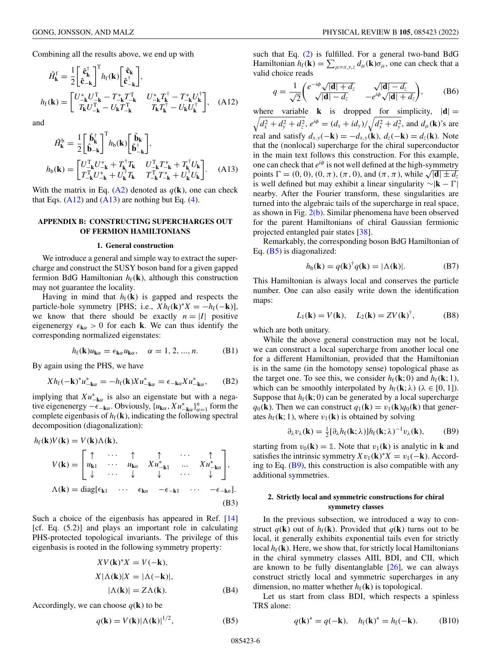<span id="page-5-0"></span>Combining all the results above, we end up with

$$
\hat{H}_{\mathbf{k}}^{\mathbf{f}} = \frac{1}{2} \begin{bmatrix} \hat{\mathbf{c}}_{\mathbf{k}}^{\dagger} \\ \hat{\mathbf{c}}_{-\mathbf{k}} \end{bmatrix}^{\mathrm{T}} h_{\mathbf{f}}(\mathbf{k}) \begin{bmatrix} \hat{\mathbf{c}}_{\mathbf{k}} \\ \hat{\mathbf{c}}_{-\mathbf{k}}^{\dagger} \end{bmatrix}, \nh_{\mathbf{f}}(\mathbf{k}) = \begin{bmatrix} U_{-\mathbf{k}}^{*} U_{-\mathbf{k}}^{\mathrm{T}} - T_{-\mathbf{k}}^{*} T_{-\mathbf{k}}^{\mathrm{T}} & U_{-\mathbf{k}}^{*} T_{\mathbf{k}}^{\dagger} - T_{-\mathbf{k}}^{*} U_{\mathbf{k}}^{\dagger} \\ T_{\mathbf{k}} U_{-\mathbf{k}}^{\mathrm{T}} - U_{\mathbf{k}} T_{-\mathbf{k}}^{\mathrm{T}} & T_{\mathbf{k}} T_{\mathbf{k}}^{\dagger} - U_{\mathbf{k}} U_{\mathbf{k}}^{\dagger} \end{bmatrix}, \quad \text{(A12)}
$$

and

$$
\hat{H}_{\mathbf{k}}^{b} = \frac{1}{2} \begin{bmatrix} \hat{\mathbf{b}}_{\mathbf{k}}^{\dagger} \\ \hat{\mathbf{b}}_{-\mathbf{k}} \end{bmatrix}^{T} h_{b}(\mathbf{k}) \begin{bmatrix} \hat{\mathbf{b}}_{\mathbf{k}} \\ \hat{\mathbf{b}}_{-\mathbf{k}}^{\dagger} \end{bmatrix}, \nh_{b}(\mathbf{k}) = \begin{bmatrix} U_{-\mathbf{k}}^{T} U_{-\mathbf{k}}^{*} + T_{\mathbf{k}}^{\dagger} T_{\mathbf{k}} & U_{-\mathbf{k}}^{T} T_{-\mathbf{k}}^{*} + T_{\mathbf{k}}^{\dagger} U_{\mathbf{k}} \\ T_{-\mathbf{k}}^{T} U_{-\mathbf{k}}^{*} + U_{\mathbf{k}}^{\dagger} T_{\mathbf{k}} & T_{-\mathbf{k}}^{T} T_{-\mathbf{k}}^{*} + U_{\mathbf{k}}^{\dagger} U_{\mathbf{k}} \end{bmatrix}.
$$
\n(A13)

With the matrix in Eq.  $(A2)$  denoted as  $q(\mathbf{k})$ , one can check that Eqs.  $(A12)$  and  $(A13)$  are nothing but Eq.  $(4)$ .

### **APPENDIX B: CONSTRUCTING SUPERCHARGES OUT OF FERMION HAMILTONIANS**

#### **1. General construction**

We introduce a general and simple way to extract the supercharge and construct the SUSY boson band for a given gapped fermion BdG Hamiltonian  $h_f(\mathbf{k})$ , although this construction may not guarantee the locality.

Having in mind that  $h_f(\mathbf{k})$  is gapped and respects the particle-hole symmetry [PHS; i.e.,  $Xh_f(\mathbf{k})^*X = -h_f(-\mathbf{k})$ ], we know that there should be exactly  $n = |I|$  positive eigenenergy  $\epsilon_{\mathbf{k}\alpha} > 0$  for each **k**. We can thus identify the corresponding normalized eigenstates:

$$
h_{\rm f}(\mathbf{k})u_{\mathbf{k}\alpha} = \epsilon_{\mathbf{k}\alpha}u_{\mathbf{k}\alpha}, \quad \alpha = 1, 2, ..., n.
$$
 (B1)

By again using the PHS, we have

$$
Xh_{\mathrm{f}}(-\mathbf{k})^*u_{-\mathbf{k}\alpha}^* = -h_{\mathrm{f}}(\mathbf{k})Xu_{-\mathbf{k}\alpha}^* = \epsilon_{-\mathbf{k}\alpha}Xu_{-\mathbf{k}\alpha}^*,\qquad(B2)
$$

implying that  $Xu_{-\mathbf{k}\alpha}^*$  is also an eigenstate but with a negative eigenenergy  $-\epsilon_{-\mathbf{k}\alpha}$ . Obviously,  $\{u_{\mathbf{k}\alpha}, Xu_{-\mathbf{k}\alpha}^*\}_{\alpha=1}^n$  form the complete eigenbasis of  $h_f(\mathbf{k})$ , indicating the following spectral decomposition (diagonalization):

$$
h_{\mathbf{f}}(\mathbf{k})V(\mathbf{k}) = V(\mathbf{k})\Lambda(\mathbf{k}),
$$
  
\n
$$
V(\mathbf{k}) = \begin{bmatrix} \uparrow & \cdots & \uparrow & \uparrow & \cdots & \uparrow \\ u_{\mathbf{k}1} & \cdots & u_{\mathbf{k}n} & Xu_{-\mathbf{k}1}^* & \cdots & Xu_{-\mathbf{k}n}^* \\ \downarrow & \cdots & \downarrow & \downarrow & \cdots & \downarrow & \downarrow \end{bmatrix},
$$
  
\n
$$
\Lambda(\mathbf{k}) = \text{diag}[\epsilon_{\mathbf{k}1} \cdots \epsilon_{\mathbf{k}n} - \epsilon_{-\mathbf{k}1} \cdots -\epsilon_{-\mathbf{k}n}].
$$
  
\n(B3)

Such a choice of the eigenbasis has appeared in Ref. [\[14\]](#page-9-0) [cf. Eq. (5.2)] and plays an important role in calculating PHS-protected topological invariants. The privilege of this eigenbasis is rooted in the following symmetry property:

$$
XV(\mathbf{k})^*X = V(-\mathbf{k}),
$$
  
\n
$$
X|\Lambda(\mathbf{k})|X = |\Lambda(-\mathbf{k})|,
$$
  
\n
$$
|\Lambda(\mathbf{k})| = Z\Lambda(\mathbf{k}).
$$
 (B4)

Accordingly, we can choose  $q(\mathbf{k})$  to be

$$
q(\mathbf{k}) = V(\mathbf{k})|\Lambda(\mathbf{k})|^{1/2},
$$
 (B5)

such that Eq. [\(2\)](#page-0-0) is fulfilled. For a general two-band BdG Hamiltonian  $h_f(\mathbf{k}) = \sum_{\mu=x,y,z} d_{\mu}(\mathbf{k}) \sigma_{\mu}$ , one can check that a valid choice reads

$$
q = \frac{1}{\sqrt{2}} \begin{pmatrix} e^{-i\phi} \sqrt{|\mathbf{d}| + d_z} & \sqrt{|\mathbf{d}| - d_z} \\ \sqrt{|\mathbf{d}| - d_z} & -e^{i\phi} \sqrt{|\mathbf{d}| + d_z} \end{pmatrix},
$$
 (B6)

where variable **k** is dropped for simplicity,  $|\mathbf{d}| =$  $\sqrt{d_x^2 + d_y^2 + d_z^2}$ ,  $e^{i\phi} = (d_x + id_y)/\sqrt{d_x^2 + d_y^2}$ , and  $d_\mu(\mathbf{k})$ 's are real and satisfy  $d_{x,y}(-\mathbf{k}) = -d_{x,y}(\mathbf{k}), d_z(-\mathbf{k}) = d_z(\mathbf{k})$ . Note that the (nonlocal) supercharge for the chiral superconductor in the main text follows this construction. For this example, one can check that  $e^{i\phi}$  is not well defined at the high-symmetry points  $\Gamma = (0, 0), (0, π), (\pi, 0)$ , and  $(π, π)$ , while  $\sqrt{|\mathbf{d}| \pm d_z}$ is well defined but may exhibit a linear singularity ∼|**k** − | nearby. After the Fourier transform, these singularities are turned into the algebraic tails of the supercharge in real space, as shown in Fig. [2\(b\).](#page-3-0) Similar phenomena have been observed for the parent Hamiltonians of chiral Gaussian fermionic projected entangled pair states [\[38\]](#page-10-0).

Remarkably, the corresponding boson BdG Hamiltonian of Eq. (B5) is diagonalized:

$$
h_{\mathbf{b}}(\mathbf{k}) = q(\mathbf{k})^{\dagger} q(\mathbf{k}) = |\Lambda(\mathbf{k})|.
$$
 (B7)

This Hamiltonian is always local and conserves the particle number. One can also easily write down the identification maps:

$$
L_1(\mathbf{k}) = V(\mathbf{k}), \quad L_2(\mathbf{k}) = ZV(\mathbf{k})^{\dagger}, \tag{B8}
$$

which are both unitary.

While the above general construction may not be local, we can construct a local supercharge from another local one for a different Hamiltonian, provided that the Hamiltonian is in the same (in the homotopy sense) topological phase as the target one. To see this, we consider  $h_f(\mathbf{k};0)$  and  $h_f(\mathbf{k};1)$ , which can be smoothly interpolated by  $h_f(\mathbf{k}; \lambda)$  ( $\lambda \in [0, 1]$ ). Suppose that  $h_f(\mathbf{k};0)$  can be generated by a local supercharge  $q_0(\mathbf{k})$ . Then we can construct  $q_1(\mathbf{k}) = v_1(\mathbf{k})q_0(\mathbf{k})$  that generates  $h_f(\mathbf{k}; 1)$ , where  $v_1(\mathbf{k})$  is obtained by solving

$$
\partial_{\lambda} v_{\lambda}(\mathbf{k}) = \frac{1}{2} [\partial_{\lambda} h_{\rm f}(\mathbf{k}; \lambda)] h_{\rm f}(\mathbf{k}; \lambda)^{-1} v_{\lambda}(\mathbf{k}), \quad (B9)
$$

starting from  $v_0(\mathbf{k}) = 1$ . Note that  $v_1(\mathbf{k})$  is analytic in **k** and satisfies the intrinsic symmetry  $Xv_1(\mathbf{k})^*X = v_1(-\mathbf{k})$ . According to Eq.  $(B9)$ , this construction is also compatible with any additional symmetries.

# **2. Strictly local and symmetric constructions for chiral symmetry classes**

In the previous subsection, we introduced a way to construct  $q(\mathbf{k})$  out of  $h_f(\mathbf{k})$ . Provided that  $q(\mathbf{k})$  turns out to be local, it generally exhibits exponential tails even for strictly local  $h_f(\mathbf{k})$ . Here, we show that, for strictly local Hamiltonians in the chiral symmetry classes AIII, BDI, and CII, which are known to be fully disentanglable [\[26\]](#page-10-0), we can always construct strictly local and symmetric supercharges in any dimension, no matter whether  $h_f(\mathbf{k})$  is topological.

Let us start from class BDI, which respects a spinless TRS alone:

$$
q(\mathbf{k})^* = q(-\mathbf{k}), \quad h_f(\mathbf{k})^* = h_f(-\mathbf{k}). \tag{B10}
$$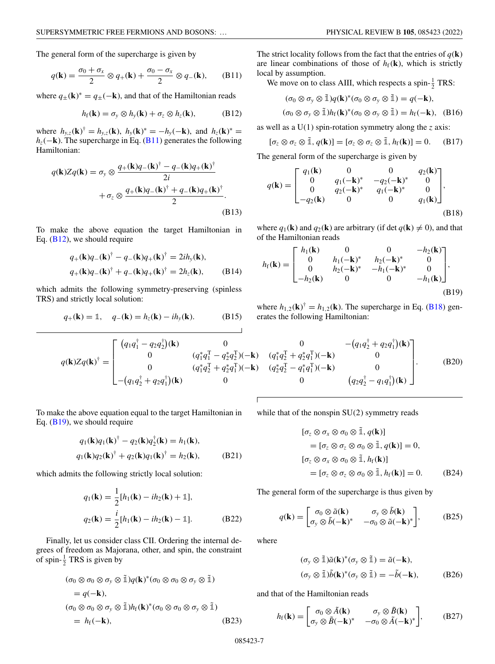<span id="page-6-0"></span>The general form of the supercharge is given by

$$
q(\mathbf{k}) = \frac{\sigma_0 + \sigma_x}{2} \otimes q_+(\mathbf{k}) + \frac{\sigma_0 - \sigma_x}{2} \otimes q_-(\mathbf{k}), \qquad (B11)
$$

where  $q_{\pm}(\mathbf{k})^* = q_{\pm}(-\mathbf{k})$ , and that of the Hamiltonian reads

$$
h_{\rm f}(\mathbf{k}) = \sigma_{\rm y} \otimes h_{\rm y}(\mathbf{k}) + \sigma_{\rm z} \otimes h_{\rm z}(\mathbf{k}), \tag{B12}
$$

where  $h_{y,z}(\mathbf{k})^{\dagger} = h_{y,z}(\mathbf{k}), h_{y}(\mathbf{k})^* = -h_{y}(-\mathbf{k}), \text{ and } h_{z}(\mathbf{k})^* =$ *hz*(−**k**). The supercharge in Eq. (B11) generates the following Hamiltonian:

$$
q(\mathbf{k})Zq(\mathbf{k}) = \sigma_y \otimes \frac{q_+(\mathbf{k})q_-(\mathbf{k})^{\dagger} - q_-(\mathbf{k})q_+(\mathbf{k})^{\dagger}}{2i}
$$

$$
+ \sigma_z \otimes \frac{q_+(\mathbf{k})q_-(\mathbf{k})^{\dagger} + q_-(\mathbf{k})q_+(\mathbf{k})^{\dagger}}{2}.
$$
(B13)

To make the above equation the target Hamiltonian in Eq. (B12), we should require

$$
q_{+}(\mathbf{k})q_{-}(\mathbf{k})^{\dagger} - q_{-}(\mathbf{k})q_{+}(\mathbf{k})^{\dagger} = 2ih_{y}(\mathbf{k}),
$$
  
\n
$$
q_{+}(\mathbf{k})q_{-}(\mathbf{k})^{\dagger} + q_{-}(\mathbf{k})q_{+}(\mathbf{k})^{\dagger} = 2h_{z}(\mathbf{k}),
$$
 (B14)

which admits the following symmetry-preserving (spinless TRS) and strictly local solution:

$$
q_+(\mathbf{k}) = \mathbb{1}, \quad q_-(\mathbf{k}) = h_z(\mathbf{k}) - ih_y(\mathbf{k}). \tag{B15}
$$

The strict locality follows from the fact that the entries of  $q(\mathbf{k})$ are linear combinations of those of  $h_f(\mathbf{k})$ , which is strictly local by assumption.

We move on to class AIII, which respects a spin- $\frac{1}{2}$  TRS:

$$
(\sigma_0 \otimes \sigma_y \otimes \tilde{\mathbb{1}})q(\mathbf{k})^*(\sigma_0 \otimes \sigma_y \otimes \tilde{\mathbb{1}}) = q(-\mathbf{k}),
$$
  

$$
(\sigma_0 \otimes \sigma_y \otimes \tilde{\mathbb{1}})h_f(\mathbf{k})^*(\sigma_0 \otimes \sigma_y \otimes \tilde{\mathbb{1}}) = h_f(-\mathbf{k}), \quad (B16)
$$

as well as a U(1) spin-rotation symmetry along the *z* axis:

$$
[\sigma_z \otimes \sigma_z \otimes \tilde{\mathbb{1}}, q(\mathbf{k})] = [\sigma_z \otimes \sigma_z \otimes \tilde{\mathbb{1}}, h_f(\mathbf{k})] = 0. \quad (B17)
$$

The general form of the supercharge is given by

$$
q(\mathbf{k}) = \begin{bmatrix} q_1(\mathbf{k}) & 0 & 0 & q_2(\mathbf{k}) \\ 0 & q_1(-\mathbf{k})^* & -q_2(-\mathbf{k})^* & 0 \\ 0 & q_2(-\mathbf{k})^* & q_1(-\mathbf{k})^* & 0 \\ -q_2(\mathbf{k}) & 0 & 0 & q_1(\mathbf{k}) \end{bmatrix},
$$
(B18)

where  $q_1(\mathbf{k})$  and  $q_2(\mathbf{k})$  are arbitrary (if det  $q(\mathbf{k}) \neq 0$ ), and that of the Hamiltonian reads

$$
h_{\rm f}(\mathbf{k}) = \begin{bmatrix} h_1(\mathbf{k}) & 0 & 0 & -h_2(\mathbf{k}) \\ 0 & h_1(-\mathbf{k})^* & h_2(-\mathbf{k})^* & 0 \\ 0 & h_2(-\mathbf{k})^* & -h_1(-\mathbf{k})^* & 0 \\ -h_2(\mathbf{k}) & 0 & 0 & -h_1(\mathbf{k}) \end{bmatrix},
$$
\n(B19)

where  $h_{1,2}(\mathbf{k})^{\dagger} = h_{1,2}(\mathbf{k})$ . The supercharge in Eq. (B18) generates the following Hamiltonian:

$$
q(\mathbf{k})Zq(\mathbf{k})^{\dagger} = \begin{bmatrix} (q_1q_1^{\dagger} - q_2q_2^{\dagger})(\mathbf{k}) & 0 & 0 & -(q_1q_2^{\dagger} + q_2q_1^{\dagger})(\mathbf{k}) \\ 0 & (q_1^*q_1^{\dagger} - q_2^*q_2^{\dagger})(-\mathbf{k}) & (q_1^*q_2^{\dagger} + q_2^*q_1^{\dagger})(-\mathbf{k}) & 0 \\ 0 & (q_1^*q_2^{\dagger} + q_2^*q_1^{\dagger})(-\mathbf{k}) & (q_2^*q_2^{\dagger} - q_1^*q_1^{\dagger})(-\mathbf{k}) & 0 \\ -(q_1q_2^{\dagger} + q_2q_1^{\dagger})(\mathbf{k}) & 0 & 0 & (q_2q_2^{\dagger} - q_1q_1^{\dagger})(\mathbf{k}) \end{bmatrix}.
$$
 (B20)

To make the above equation equal to the target Hamiltonian in Eq.  $(B19)$ , we should require

$$
q_1(\mathbf{k})q_1(\mathbf{k})^{\dagger} - q_2(\mathbf{k})q_2^{\dagger}(\mathbf{k}) = h_1(\mathbf{k}),
$$
  

$$
q_1(\mathbf{k})q_2(\mathbf{k})^{\dagger} + q_2(\mathbf{k})q_1(\mathbf{k})^{\dagger} = h_2(\mathbf{k}),
$$
 (B21)

which admits the following strictly local solution:

$$
q_1(\mathbf{k}) = \frac{1}{2} [h_1(\mathbf{k}) - ih_2(\mathbf{k}) + \mathbb{1}],
$$
  
\n
$$
q_2(\mathbf{k}) = \frac{i}{2} [h_1(\mathbf{k}) - ih_2(\mathbf{k}) - \mathbb{1}].
$$
 (B22)

Finally, let us consider class CII. Ordering the internal degrees of freedom as Majorana, other, and spin, the constraint of spin- $\frac{1}{2}$  TRS is given by

$$
(\sigma_0 \otimes \sigma_0 \otimes \sigma_y \otimes \tilde{\mathbb{1}})q(\mathbf{k})^*(\sigma_0 \otimes \sigma_0 \otimes \sigma_y \otimes \tilde{\mathbb{1}})
$$
  
=  $q(-\mathbf{k}),$   

$$
(\sigma_0 \otimes \sigma_0 \otimes \sigma_y \otimes \tilde{\mathbb{1}})h_f(\mathbf{k})^*(\sigma_0 \otimes \sigma_0 \otimes \sigma_y \otimes \tilde{\mathbb{1}})
$$
  
=  $h_f(-\mathbf{k}),$  (B23)

while that of the nonspin SU(2) symmetry reads

$$
[\sigma_z \otimes \sigma_x \otimes \sigma_0 \otimes \tilde{\mathbb{1}}, q(\mathbf{k})]
$$
  
=  $[\sigma_z \otimes \sigma_z \otimes \sigma_0 \otimes \tilde{\mathbb{1}}, q(\mathbf{k})] = 0,$   
 $[\sigma_z \otimes \sigma_x \otimes \sigma_0 \otimes \tilde{\mathbb{1}}, h_f(\mathbf{k})]$   
=  $[\sigma_z \otimes \sigma_z \otimes \sigma_0 \otimes \tilde{\mathbb{1}}, h_f(\mathbf{k})] = 0.$  (B24)

The general form of the supercharge is thus given by

$$
q(\mathbf{k}) = \begin{bmatrix} \sigma_0 \otimes \tilde{a}(\mathbf{k}) & \sigma_y \otimes \tilde{b}(\mathbf{k}) \\ \sigma_y \otimes \tilde{b}(-\mathbf{k})^* & -\sigma_0 \otimes \tilde{a}(-\mathbf{k})^* \end{bmatrix},
$$
 (B25)

where

$$
(\sigma_y \otimes \tilde{\mathbb{1}})\tilde{a}(\mathbf{k})^*(\sigma_y \otimes \tilde{\mathbb{1}}) = \tilde{a}(-\mathbf{k}),
$$
  
\n
$$
(\sigma_y \otimes \tilde{\mathbb{1}})\tilde{b}(\mathbf{k})^*(\sigma_y \otimes \tilde{\mathbb{1}}) = -\tilde{b}(-\mathbf{k}),
$$
 (B26)

and that of the Hamiltonian reads

$$
h_{\rm f}(\mathbf{k}) = \begin{bmatrix} \sigma_0 \otimes \tilde{A}(\mathbf{k}) & \sigma_y \otimes \tilde{B}(\mathbf{k}) \\ \sigma_y \otimes \tilde{B}(-\mathbf{k})^* & -\sigma_0 \otimes \tilde{A}(-\mathbf{k})^* \end{bmatrix},
$$
(B27)

085423-7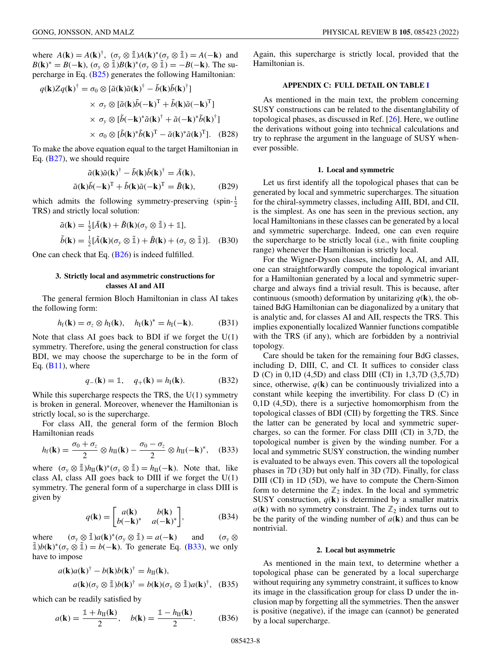<span id="page-7-0"></span>where  $A(\mathbf{k}) = A(\mathbf{k})^{\dagger}$ ,  $(\sigma_y \otimes \tilde{\mathbb{1}})A(\mathbf{k})^*(\sigma_y \otimes \tilde{\mathbb{1}}) = A(-\mathbf{k})$  and  $B(\mathbf{k})^* = B(-\mathbf{k}), (\sigma_y \otimes \tilde{\mathbb{1}})B(\mathbf{k})^*(\sigma_y \otimes \tilde{\mathbb{1}}) = -B(-\mathbf{k}).$  The supercharge in Eq. [\(B25\)](#page-6-0) generates the following Hamiltonian:

$$
q(\mathbf{k})Zq(\mathbf{k})^{\dagger} = \sigma_0 \otimes [\tilde{a}(\mathbf{k})\tilde{a}(\mathbf{k})^{\dagger} - \tilde{b}(\mathbf{k})\tilde{b}(\mathbf{k})^{\dagger}]
$$
  
 
$$
\times \sigma_y \otimes [\tilde{a}(\mathbf{k})\tilde{b}(-\mathbf{k})^{\mathrm{T}} + \tilde{b}(\mathbf{k})\tilde{a}(-\mathbf{k})^{\mathrm{T}}]
$$
  
 
$$
\times \sigma_y \otimes [\tilde{b}(-\mathbf{k})^* \tilde{a}(\mathbf{k})^{\dagger} + \tilde{a}(-\mathbf{k})^* \tilde{b}(\mathbf{k})^{\dagger}]
$$
  
 
$$
\times \sigma_0 \otimes [\tilde{b}(\mathbf{k})^* \tilde{b}(\mathbf{k})^{\mathrm{T}} - \tilde{a}(\mathbf{k})^* \tilde{a}(\mathbf{k})^{\mathrm{T}}]. \quad (B28)
$$

To make the above equation equal to the target Hamiltonian in Eq. [\(B27\)](#page-6-0), we should require

$$
\tilde{a}(\mathbf{k})\tilde{a}(\mathbf{k})^{\dagger} - \tilde{b}(\mathbf{k})\tilde{b}(\mathbf{k})^{\dagger} = \tilde{A}(\mathbf{k}),
$$
  

$$
\tilde{a}(\mathbf{k})\tilde{b}(-\mathbf{k})^{\mathrm{T}} + \tilde{b}(\mathbf{k})\tilde{a}(-\mathbf{k})^{\mathrm{T}} = \tilde{B}(\mathbf{k}),
$$
 (B29)

which admits the following symmetry-preserving (spin- $\frac{1}{2}$ ) TRS) and strictly local solution:

$$
\tilde{a}(\mathbf{k}) = \frac{1}{2} [\tilde{A}(\mathbf{k}) + \tilde{B}(\mathbf{k}) (\sigma_y \otimes \tilde{\mathbb{1}}) + \mathbb{1}],
$$
  
\n
$$
\tilde{b}(\mathbf{k}) = \frac{1}{2} [\tilde{A}(\mathbf{k}) (\sigma_y \otimes \tilde{\mathbb{1}}) + \tilde{B}(\mathbf{k}) + (\sigma_y \otimes \tilde{\mathbb{1}})].
$$
 (B30)

One can check that Eq. [\(B26\)](#page-6-0) is indeed fulfilled.

# **3. Strictly local and asymmetric constructions for classes AI and AII**

The general fermion Bloch Hamiltonian in class AI takes the following form:

$$
h_{\mathrm{f}}(\mathbf{k}) = \sigma_{z} \otimes h_{\mathrm{I}}(\mathbf{k}), \quad h_{\mathrm{I}}(\mathbf{k})^{*} = h_{\mathrm{I}}(-\mathbf{k}). \tag{B31}
$$

Note that class AI goes back to BDI if we forget the  $U(1)$ symmetry. Therefore, using the general construction for class BDI, we may choose the supercharge to be in the form of Eq.  $(B11)$ , where

$$
q_{-}(\mathbf{k}) = \mathbb{1}, \quad q_{+}(\mathbf{k}) = h_{I}(\mathbf{k}).
$$
 (B32)

While this supercharge respects the TRS, the U(1) symmetry is broken in general. Moreover, whenever the Hamiltonian is strictly local, so is the supercharge.

For class AII, the general form of the fermion Bloch Hamiltonian reads

$$
h_{\rm f}(\mathbf{k}) = \frac{\sigma_0 + \sigma_z}{2} \otimes h_{\rm II}(\mathbf{k}) - \frac{\sigma_0 - \sigma_z}{2} \otimes h_{\rm II}(-\mathbf{k})^*, \quad \text{(B33)}
$$

where  $(\sigma_y \otimes \tilde{\mathbb{1}})h_{\text{II}}(\mathbf{k})^*(\sigma_y \otimes \tilde{\mathbb{1}}) = h_{\text{II}}(-\mathbf{k})$ . Note that, like class AI, class AII goes back to DIII if we forget the  $U(1)$ symmetry. The general form of a supercharge in class DIII is given by

$$
q(\mathbf{k}) = \begin{bmatrix} a(\mathbf{k}) & b(\mathbf{k}) \\ b(-\mathbf{k})^* & a(-\mathbf{k})^* \end{bmatrix},
$$
 (B34)

where  $(\sigma_y \otimes \tilde{\mathbb{1}})a(\mathbf{k})^*(\sigma_y \otimes \tilde{\mathbb{1}}) = a(-\mathbf{k})$  and  $(\sigma_y \otimes$  $\tilde{\mathbb{1}}$ )*b*(**k**)<sup>\*</sup>( $\sigma_y \otimes \tilde{\mathbb{1}}$ ) = *b*(−**k**). To generate Eq. (B33), we only have to impose

$$
a(\mathbf{k})a(\mathbf{k})^{\dagger} - b(\mathbf{k})b(\mathbf{k})^{\dagger} = h_{\text{II}}(\mathbf{k}),
$$
  
\n
$$
a(\mathbf{k})(\sigma_y \otimes \tilde{\mathbb{1}})b(\mathbf{k})^{\dagger} = b(\mathbf{k})(\sigma_y \otimes \tilde{\mathbb{1}})a(\mathbf{k})^{\dagger}, \quad (B35)
$$

which can be readily satisfied by

$$
a(\mathbf{k}) = \frac{\mathbb{1} + h_{\rm II}(\mathbf{k})}{2}, \quad b(\mathbf{k}) = \frac{\mathbb{1} - h_{\rm II}(\mathbf{k})}{2}.
$$
 (B36)

Again, this supercharge is strictly local, provided that the Hamiltonian is.

#### **APPENDIX C: FULL DETAIL ON TABLE [I](#page-1-0)**

As mentioned in the main text, the problem concerning SUSY constructions can be related to the disentanglability of topological phases, as discussed in Ref. [\[26\]](#page-10-0). Here, we outline the derivations without going into technical calculations and try to rephrase the argument in the language of SUSY whenever possible.

### **1. Local and symmetric**

Let us first identify all the topological phases that can be generated by local and symmetric supercharges. The situation for the chiral-symmetry classes, including AIII, BDI, and CII, is the simplest. As one has seen in the previous section, any local Hamiltonians in these classes can be generated by a local and symmetric supercharge. Indeed, one can even require the supercharge to be strictly local (i.e., with finite coupling range) whenever the Hamiltonian is strictly local.

For the Wigner-Dyson classes, including A, AI, and AII, one can straightforwardly compute the topological invariant for a Hamiltonian generated by a local and symmetric supercharge and always find a trivial result. This is because, after continuous (smooth) deformation by unitarizing  $q(\mathbf{k})$ , the obtained BdG Hamiltonian can be diagonalized by a unitary that is analytic and, for classes AI and AII, respects the TRS. This implies exponentially localized Wannier functions compatible with the TRS (if any), which are forbidden by a nontrivial topology.

Care should be taken for the remaining four BdG classes, including D, DIII, C, and CI. It suffices to consider class D (C) in 0,1D (4,5D) and class DIII (CI) in 1,3,7D (3,5,7D) since, otherwise,  $q(\mathbf{k})$  can be continuously trivialized into a constant while keeping the invertibility. For class D (C) in 0,1D (4,5D), there is a surjective homomorphism from the topological classes of BDI (CII) by forgetting the TRS. Since the latter can be generated by local and symmetric supercharges, so can the former. For class DIII (CI) in 3,7D, the topological number is given by the winding number. For a local and symmetric SUSY construction, the winding number is evaluated to be always even. This covers all the topological phases in 7D (3D) but only half in 3D (7D). Finally, for class DIII (CI) in 1D (5D), we have to compute the Chern-Simon form to determine the  $\mathbb{Z}_2$  index. In the local and symmetric SUSY construction,  $q(\mathbf{k})$  is determined by a smaller matrix  $a(\mathbf{k})$  with no symmetry constraint. The  $\mathbb{Z}_2$  index turns out to be the parity of the winding number of  $a(\mathbf{k})$  and thus can be nontrivial.

#### **2. Local but asymmetric**

As mentioned in the main text, to determine whether a topological phase can be generated by a local supercharge without requiring any symmetry constraint, it suffices to know its image in the classification group for class D under the inclusion map by forgetting all the symmetries. Then the answer is positive (negative), if the image can (cannot) be generated by a local supercharge.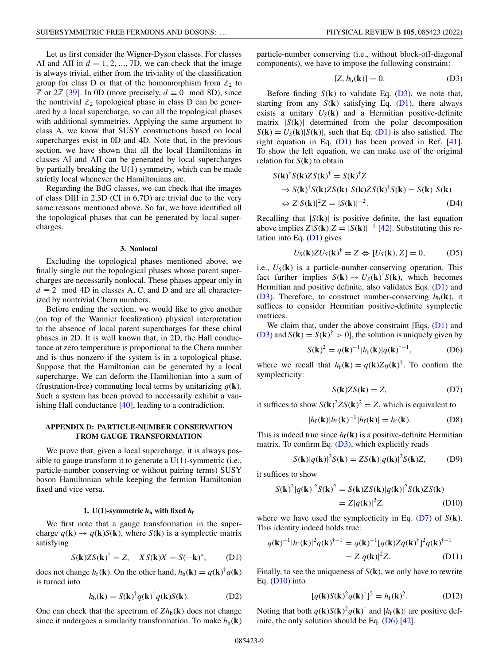<span id="page-8-0"></span>Let us first consider the Wigner-Dyson classes. For classes AI and AII in  $d = 1, 2, ..., 7D$ , we can check that the image is always trivial, either from the triviality of the classification group for class D or that of the homomorphism from  $\mathbb{Z}_2$  to **Z** or 2**Z** [\[39\]](#page-10-0). In 0D (more precisely, *d* ≡ 0 mod 8D), since the nontrivial  $\mathbb{Z}_2$  topological phase in class D can be generated by a local supercharge, so can all the topological phases with additional symmetries. Applying the same argument to class A, we know that SUSY constructions based on local supercharges exist in 0D and 4D. Note that, in the previous section, we have shown that all the local Hamiltonians in classes AI and AII can be generated by local supercharges by partially breaking the  $U(1)$  symmetry, which can be made strictly local whenever the Hamiltonians are.

Regarding the BdG classes, we can check that the images of class DIII in 2,3D (CI in 6,7D) are trivial due to the very same reasons mentioned above. So far, we have identified all the topological phases that can be generated by local supercharges.

#### **3. Nonlocal**

Excluding the topological phases mentioned above, we finally single out the topological phases whose parent supercharges are necessarily nonlocal. These phases appear only in  $d \equiv 2 \mod 4D$  in classes A, C, and D and are all characterized by nontrivial Chern numbers.

Before ending the section, we would like to give another (on top of the Wannier localization) physical interpretation to the absence of local parent supercharges for these chiral phases in 2D. It is well known that, in 2D, the Hall conductance at zero temperature is proportional to the Chern number and is thus nonzero if the system is in a topological phase. Suppose that the Hamiltonian can be generated by a local supercharge. We can deform the Hamiltonian into a sum of (frustration-free) commuting local terms by unitarizing  $q(\mathbf{k})$ . Such a system has been proved to necessarily exhibit a vanishing Hall conductance [\[40\]](#page-10-0), leading to a contradiction.

### **APPENDIX D: PARTICLE-NUMBER CONSERVATION FROM GAUGE TRANSFORMATION**

We prove that, given a local supercharge, it is always possible to gauge transform it to generate a U(1)-symmetric (i.e., particle-number conserving or without pairing terms) SUSY boson Hamiltonian while keeping the fermion Hamiltonian fixed and vice versa.

### **1.** U(1)-symmetric  $h<sub>b</sub>$  with fixed  $h<sub>f</sub>$

We first note that a gauge transformation in the supercharge  $q(\mathbf{k}) \rightarrow q(\mathbf{k})S(\mathbf{k})$ , where  $S(\mathbf{k})$  is a symplectic matrix satisfying

$$
S(\mathbf{k})ZS(\mathbf{k})^{\dagger} = Z, \quad XS(\mathbf{k})X = S(-\mathbf{k})^*, \tag{D1}
$$

does not change  $h_f(\mathbf{k})$ . On the other hand,  $h_b(\mathbf{k}) = q(\mathbf{k})^{\dagger} q(\mathbf{k})$ is turned into

$$
h_{\mathbf{b}}(\mathbf{k}) = S(\mathbf{k})^{\dagger} q(\mathbf{k})^{\dagger} q(\mathbf{k}) S(\mathbf{k}). \tag{D2}
$$

One can check that the spectrum of  $Zh_b(\mathbf{k})$  does not change since it undergoes a similarity transformation. To make  $h_b(\mathbf{k})$  particle-number conserving (i.e., without block-off-diagonal components), we have to impose the following constraint:

$$
[Z, h_b(\mathbf{k})] = 0. \tag{D3}
$$

Before finding  $S(\mathbf{k})$  to validate Eq.  $(D3)$ , we note that, starting from any  $S(\mathbf{k})$  satisfying Eq. (D1), there always exists a unitary  $U_S(\mathbf{k})$  and a Hermitian positive-definite matrix  $|S(\mathbf{k})|$  determined from the polar decomposition  $S(\mathbf{k}) = U_{S}(\mathbf{k}) | S(\mathbf{k})|$ , such that Eq. (D1) is also satisfied. The right equation in Eq.  $(D1)$  has been proved in Ref. [\[41\]](#page-10-0). To show the left equation, we can make use of the original relation for  $S(\mathbf{k})$  to obtain

$$
S(\mathbf{k})^{\dagger} S(\mathbf{k}) Z S(\mathbf{k})^{\dagger} = S(\mathbf{k})^{\dagger} Z
$$
  
\n
$$
\Rightarrow S(\mathbf{k})^{\dagger} S(\mathbf{k}) Z S(\mathbf{k})^{\dagger} S(\mathbf{k}) Z S(\mathbf{k})^{\dagger} S(\mathbf{k}) = S(\mathbf{k})^{\dagger} S(\mathbf{k})
$$
  
\n
$$
\Leftrightarrow Z|S(\mathbf{k})|^2 Z = |S(\mathbf{k})|^{-2}. \tag{D4}
$$

Recalling that  $|S(\mathbf{k})|$  is positive definite, the last equation above implies  $Z|S(\mathbf{k})|Z = |S(\mathbf{k})|^{-1}$  [\[42\]](#page-10-0). Substituting this relation into Eq.  $(D1)$  gives

$$
U_S(\mathbf{k})ZU_S(\mathbf{k})^{\dagger} = Z \Leftrightarrow [U_S(\mathbf{k}), Z] = 0, \quad (D5)
$$

i.e.,  $U_S(\mathbf{k})$  is a particle-number-conserving operation. This fact further implies  $S(\mathbf{k}) \to U_S(\mathbf{k})^{\dagger} S(\mathbf{k})$ , which becomes Hermitian and positive definite, also validates Eqs. (D1) and ( $D3$ ). Therefore, to construct number-conserving  $h_b(\mathbf{k})$ , it suffices to consider Hermitian positive-definite symplectic matrices.

We claim that, under the above constraint  $[Eqs. (D1)$  and (D3) and  $S(\mathbf{k}) = S(\mathbf{k})^{\dagger} > 0$ , the solution is uniquely given by

$$
S(\mathbf{k})^2 = q(\mathbf{k})^{-1} |h_f(\mathbf{k})| q(\mathbf{k})^{\dagger - 1},
$$
 (D6)

where we recall that  $h_f(\mathbf{k}) = q(\mathbf{k})Zq(\mathbf{k})^{\dagger}$ . To confirm the symplecticity:

$$
S(\mathbf{k})ZS(\mathbf{k}) = Z,\tag{D7}
$$

it suffices to show  $S(\mathbf{k})^2 Z S(\mathbf{k})^2 = Z$ , which is equivalent to

$$
|h_f(\mathbf{k})|h_f(\mathbf{k})^{-1}|h_f(\mathbf{k})| = h_f(\mathbf{k}).
$$
 (D8)

This is indeed true since  $h_f(\mathbf{k})$  is a positive-definite Hermitian matrix. To confirm Eq. (D3), which explicitly reads

$$
S(\mathbf{k})|q(\mathbf{k})|^2 S(\mathbf{k}) = ZS(\mathbf{k})|q(\mathbf{k})|^2 S(\mathbf{k})Z,
$$
 (D9)

it suffices to show

$$
S(\mathbf{k})^2 |q(\mathbf{k})|^2 S(\mathbf{k})^2 = S(\mathbf{k}) Z S(\mathbf{k}) |q(\mathbf{k})|^2 S(\mathbf{k}) Z S(\mathbf{k})
$$
  
=  $Z |q(\mathbf{k})|^2 Z$ , (D10)

where we have used the symplecticity in Eq.  $(D7)$  of  $S(\mathbf{k})$ . This identity indeed holds true:

$$
q(\mathbf{k})^{-1} |h_f(\mathbf{k})|^2 q(\mathbf{k})^{\dagger-1} = q(\mathbf{k})^{-1} [q(\mathbf{k}) Z q(\mathbf{k})^{\dagger}]^2 q(\mathbf{k})^{\dagger-1}
$$
  
=  $Z |q(\mathbf{k})|^2 Z.$  (D11)

Finally, to see the uniqueness of *S*(**k**), we only have to rewrite Eq. (D10) into

$$
[q(\mathbf{k})S(\mathbf{k})^2q(\mathbf{k})^{\dagger}]^2 = h_f(\mathbf{k})^2.
$$
 (D12)

Noting that both  $q(\mathbf{k})S(\mathbf{k})^2q(\mathbf{k})^{\dagger}$  and  $|h_f(\mathbf{k})|$  are positive definite, the only solution should be Eq.  $(D6)$  [\[42\]](#page-10-0).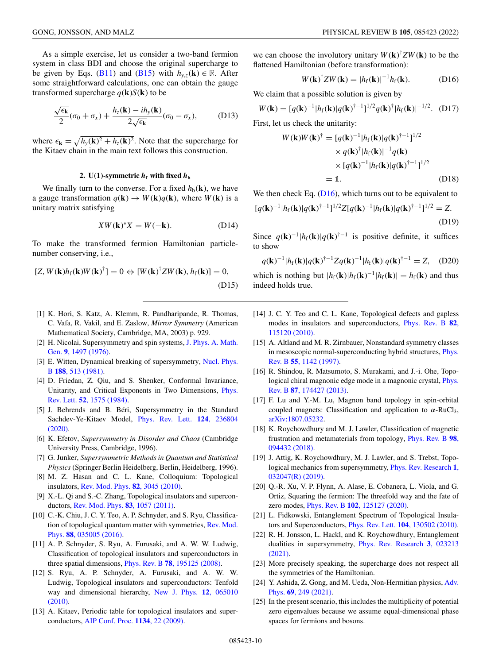<span id="page-9-0"></span>As a simple exercise, let us consider a two-band fermion system in class BDI and choose the original supercharge to be given by Eqs. [\(B11\)](#page-6-0) and [\(B15\)](#page-6-0) with  $h_{y,z}(\mathbf{k}) \in \mathbb{R}$ . After some straightforward calculations, one can obtain the gauge transformed supercharge  $q(\mathbf{k})S(\mathbf{k})$  to be

$$
\frac{\sqrt{\epsilon_{\mathbf{k}}}}{2}(\sigma_0 + \sigma_x) + \frac{h_z(\mathbf{k}) - ih_y(\mathbf{k})}{2\sqrt{\epsilon_{\mathbf{k}}}}(\sigma_0 - \sigma_x), \quad (D13)
$$

where  $\epsilon_{\mathbf{k}} = \sqrt{h_y(\mathbf{k})^2 + h_z(\mathbf{k})^2}$ . Note that the supercharge for the Kitaev chain in the main text follows this construction.

### 2. U(1)-symmetric  $h_f$  with fixed  $h_b$

We finally turn to the converse. For a fixed  $h_b(\mathbf{k})$ , we have a gauge transformation  $q(\mathbf{k}) \rightarrow W(\mathbf{k})q(\mathbf{k})$ , where  $W(\mathbf{k})$  is a unitary matrix satisfying

$$
XW(\mathbf{k})^*X = W(-\mathbf{k}).\tag{D14}
$$

To make the transformed fermion Hamiltonian particlenumber conserving, i.e.,

$$
[Z, W(\mathbf{k})h_f(\mathbf{k})W(\mathbf{k})^{\dagger}] = 0 \Leftrightarrow [W(\mathbf{k})^{\dagger}ZW(\mathbf{k}), h_f(\mathbf{k})] = 0,
$$
\n(D15)

- [1] K. Hori, S. Katz, A. Klemm, R. Pandharipande, R. Thomas, C. Vafa, R. Vakil, and E. Zaslow, *Mirror Symmetry* (American Mathematical Society, Cambridge, MA, 2003) p. 929.
- [2] [H. Nicolai, Supersymmetry and spin systems,](https://doi.org/10.1088/0305-4470/9/9/010) J. Phys. A. Math. Gen. **9**, 1497 (1976).
- [3] [E. Witten, Dynamical breaking of supersymmetry,](https://doi.org/10.1016/0550-3213(81)90006-7) Nucl. Phys. B **188**, 513 (1981).
- [4] D. Friedan, Z. Qiu, and S. Shenker, Conformal Invariance, [Unitarity, and Critical Exponents in Two Dimensions,](https://doi.org/10.1103/PhysRevLett.52.1575) Phys. Rev. Lett. **52**, 1575 (1984).
- [5] J. Behrends and B. Béri, Supersymmetry in the Standard [Sachdev-Ye-Kitaev Model,](https://doi.org/10.1103/PhysRevLett.124.236804) Phys. Rev. Lett. **124**, 236804 (2020).
- [6] K. Efetov, *Supersymmetry in Disorder and Chaos* (Cambridge University Press, Cambridge, 1996).
- [7] G. Junker, *Supersymmetric Methods in Quantum and Statistical Physics* (Springer Berlin Heidelberg, Berlin, Heidelberg, 1996).
- [8] M. Z. Hasan and C. L. Kane, Colloquium: Topological insulators, [Rev. Mod. Phys.](https://doi.org/10.1103/RevModPhys.82.3045) **82**, 3045 (2010).
- [9] X.-L. Qi and S.-C. Zhang, Topological insulators and superconductors, [Rev. Mod. Phys.](https://doi.org/10.1103/RevModPhys.83.1057) **83**, 1057 (2011).
- [10] C.-K. Chiu, J. C. Y. Teo, A. P. Schnyder, and S. Ryu, Classifica[tion of topological quantum matter with symmetries,](https://doi.org/10.1103/RevModPhys.88.035005) Rev. Mod. Phys. **88**, 035005 (2016).
- [11] A. P. Schnyder, S. Ryu, A. Furusaki, and A. W. W. Ludwig, Classification of topological insulators and superconductors in three spatial dimensions, Phys. Rev. B **78**[, 195125 \(2008\).](https://doi.org/10.1103/PhysRevB.78.195125)
- [12] S. Ryu, A. P. Schnyder, A. Furusaki, and A. W. W. Ludwig, Topological insulators and superconductors: Tenfold [way and dimensional hierarchy,](https://doi.org/10.1088/1367-2630/12/6/065010) New J. Phys. **12**, 065010 (2010).
- [13] A. Kitaev, Periodic table for topological insulators and superconductors, [AIP Conf. Proc.](https://doi.org/10.1063/1.3149495) **1134**, 22 (2009).

we can choose the involutory unitary  $W(\mathbf{k})^{\dagger} Z W(\mathbf{k})$  to be the flattened Hamiltonian (before transformation):

$$
W(\mathbf{k})^{\dagger}ZW(\mathbf{k})=|h_{\mathrm{f}}(\mathbf{k})|^{-1}h_{\mathrm{f}}(\mathbf{k}).
$$
 (D16)

We claim that a possible solution is given by

$$
W(\mathbf{k}) = [q(\mathbf{k})^{-1} |h_{\rm f}(\mathbf{k})|q(\mathbf{k})^{\dagger-1}]^{1/2} q(\mathbf{k})^{\dagger} |h_{\rm f}(\mathbf{k})|^{-1/2}.
$$
 (D17)

First, let us check the unitarity:

$$
W(\mathbf{k})W(\mathbf{k})^{\dagger} = [q(\mathbf{k})^{-1} |h_f(\mathbf{k})|q(\mathbf{k})^{\dagger-1}]^{1/2}
$$
  
\n
$$
\times q(\mathbf{k})^{\dagger} |h_f(\mathbf{k})|^{-1} q(\mathbf{k})
$$
  
\n
$$
\times [q(\mathbf{k})^{-1} |h_f(\mathbf{k})|q(\mathbf{k})^{\dagger-1}]^{1/2}
$$
  
\n
$$
= \mathbb{1}. \qquad (D18)
$$

We then check Eq.  $(D16)$ , which turns out to be equivalent to

$$
[q(\mathbf{k})^{-1}|h_{\mathrm{f}}(\mathbf{k})|q(\mathbf{k})^{\dagger-1}]^{1/2}Z[q(\mathbf{k})^{-1}|h_{\mathrm{f}}(\mathbf{k})|q(\mathbf{k})^{\dagger-1}]^{1/2} = Z.
$$
\n(D19)

Since  $q(\mathbf{k})^{-1} |h_f(\mathbf{k})| q(\mathbf{k})^{\dagger-1}$  is positive definite, it suffices to show

$$
q(\mathbf{k})^{-1} |h_{\mathbf{f}}(\mathbf{k})| q(\mathbf{k})^{\dagger - 1} Z q(\mathbf{k})^{-1} |h_{\mathbf{f}}(\mathbf{k})| q(\mathbf{k})^{\dagger - 1} = Z, \quad (D20)
$$

which is nothing but  $|h_f(\mathbf{k})| h_f(\mathbf{k})^{-1} |h_f(\mathbf{k})| = h_f(\mathbf{k})$  and thus indeed holds true.

- [14] J. C. Y. Teo and C. L. Kane, Topological defects and gapless [modes in insulators and superconductors,](https://doi.org/10.1103/PhysRevB.82.115120) Phys. Rev. B **82**, 115120 (2010).
- [15] A. Altland and M. R. Zirnbauer, Nonstandard symmetry classes [in mesoscopic normal-superconducting hybrid structures,](https://doi.org/10.1103/PhysRevB.55.1142) Phys. Rev. B **55**, 1142 (1997).
- [16] R. Shindou, R. Matsumoto, S. Murakami, and J.-i. Ohe, Topo[logical chiral magnonic edge mode in a magnonic crystal,](https://doi.org/10.1103/PhysRevB.87.174427) Phys. Rev. B **87**, 174427 (2013).
- [17] F. Lu and Y.-M. Lu, Magnon band topology in spin-orbital coupled magnets: Classification and application to  $\alpha$ -RuCl<sub>3</sub>, [arXiv:1807.05232.](http://arxiv.org/abs/arXiv:1807.05232)
- [18] K. Roychowdhury and M. J. Lawler, Classification of magnetic [frustration and metamaterials from topology,](https://doi.org/10.1103/PhysRevB.98.094432) Phys. Rev. B **98**, 094432 (2018).
- [19] J. Attig, K. Roychowdhury, M. J. Lawler, and S. Trebst, Topo[logical mechanics from supersymmetry,](https://doi.org/10.1103/PhysRevResearch.1.032047) Phys. Rev. Research **1**, 032047(R) (2019).
- [20] Q.-R. Xu, V. P. Flynn, A. Alase, E. Cobanera, L. Viola, and G. Ortiz, Squaring the fermion: The threefold way and the fate of zero modes, Phys. Rev. B **102**[, 125127 \(2020\).](https://doi.org/10.1103/PhysRevB.102.125127)
- [21] L. Fidkowski, Entanglement Spectrum of Topological Insulators and Superconductors, Phys. Rev. Lett. **104**[, 130502 \(2010\).](https://doi.org/10.1103/PhysRevLett.104.130502)
- [22] R. H. Jonsson, L. Hackl, and K. Roychowdhury, Entanglement [dualities in supersymmetry,](https://doi.org/10.1103/PhysRevResearch.3.023213) Phys. Rev. Research **3**, 023213 (2021).
- [23] More precisely speaking, the supercharge does not respect all the symmetries of the Hamiltonian.
- [24] [Y. Ashida, Z. Gong, and M. Ueda, Non-Hermitian physics,](https://doi.org/10.1080/00018732.2021.1876991) Adv. Phys. **69**, 249 (2021).
- [25] In the present scenario, this includes the multiplicity of potential zero eigenvalues because we assume equal-dimensional phase spaces for fermions and bosons.